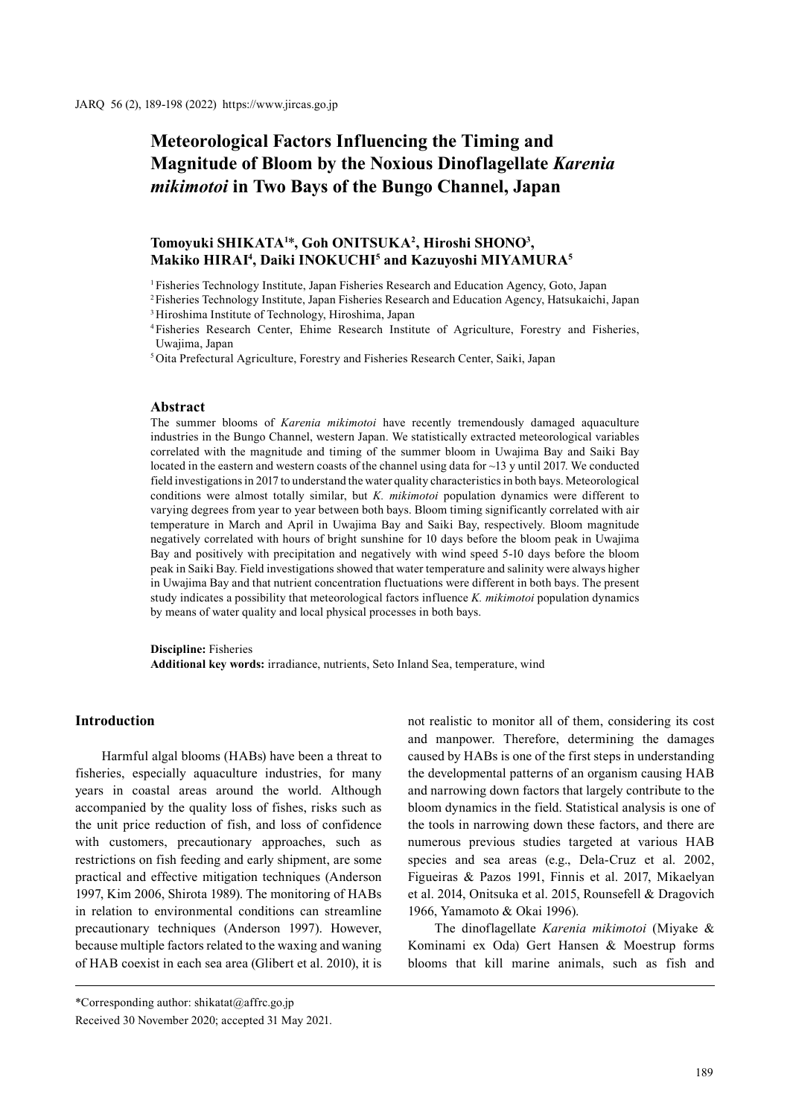# **Meteorological Factors Influencing the Timing and Magnitude of Bloom by the Noxious Dinoflagellate** *Karenia mikimotoi* **in Two Bays of the Bungo Channel, Japan**

# **Tomoyuki SHIKATA1** \***, Goh ONITSUKA2 , Hiroshi SHONO3 , Makiko HIRAI4 , Daiki INOKUCHI5 and Kazuyoshi MIYAMURA5**

<sup>1</sup> Fisheries Technology Institute, Japan Fisheries Research and Education Agency, Goto, Japan

2 Fisheries Technology Institute, Japan Fisheries Research and Education Agency, Hatsukaichi, Japan

3 Hiroshima Institute of Technology, Hiroshima, Japan

4 Fisheries Research Center, Ehime Research Institute of Agriculture, Forestry and Fisheries, Uwajima, Japan

5 Oita Prefectural Agriculture, Forestry and Fisheries Research Center, Saiki, Japan

#### **Abstract**

The summer blooms of *Karenia mikimotoi* have recently tremendously damaged aquaculture industries in the Bungo Channel, western Japan. We statistically extracted meteorological variables correlated with the magnitude and timing of the summer bloom in Uwajima Bay and Saiki Bay located in the eastern and western coasts of the channel using data for ~13 y until 2017. We conducted field investigations in 2017 to understand the water quality characteristics in both bays. Meteorological conditions were almost totally similar, but *K. mikimotoi* population dynamics were different to varying degrees from year to year between both bays. Bloom timing significantly correlated with air temperature in March and April in Uwajima Bay and Saiki Bay, respectively. Bloom magnitude negatively correlated with hours of bright sunshine for 10 days before the bloom peak in Uwajima Bay and positively with precipitation and negatively with wind speed 5-10 days before the bloom peak in Saiki Bay. Field investigations showed that water temperature and salinity were always higher in Uwajima Bay and that nutrient concentration fluctuations were different in both bays. The present study indicates a possibility that meteorological factors influence *K. mikimotoi* population dynamics by means of water quality and local physical processes in both bays.

**Discipline:** Fisheries

**Additional key words:** irradiance, nutrients, Seto Inland Sea, temperature, wind

# **Introduction**

Harmful algal blooms (HABs) have been a threat to fisheries, especially aquaculture industries, for many years in coastal areas around the world. Although accompanied by the quality loss of fishes, risks such as the unit price reduction of fish, and loss of confidence with customers, precautionary approaches, such as restrictions on fish feeding and early shipment, are some practical and effective mitigation techniques (Anderson 1997, Kim 2006, Shirota 1989). The monitoring of HABs in relation to environmental conditions can streamline precautionary techniques (Anderson 1997). However, because multiple factors related to the waxing and waning of HAB coexist in each sea area (Glibert et al. 2010), it is

not realistic to monitor all of them, considering its cost and manpower. Therefore, determining the damages caused by HABs is one of the first steps in understanding the developmental patterns of an organism causing HAB and narrowing down factors that largely contribute to the bloom dynamics in the field. Statistical analysis is one of the tools in narrowing down these factors, and there are numerous previous studies targeted at various HAB species and sea areas (e.g., Dela-Cruz et al. 2002, Figueiras & Pazos 1991, Finnis et al. 2017, Mikaelyan et al. 2014, Onitsuka et al. 2015, Rounsefell & Dragovich 1966, Yamamoto & Okai 1996).

The dinoflagellate *Karenia mikimotoi* (Miyake & Kominami ex Oda) Gert Hansen & Moestrup forms blooms that kill marine animals, such as fish and

<sup>\*</sup>Corresponding author:  $shikatat@affrc.gov.jp$ 

Received 30 November 2020; accepted 31 May 2021.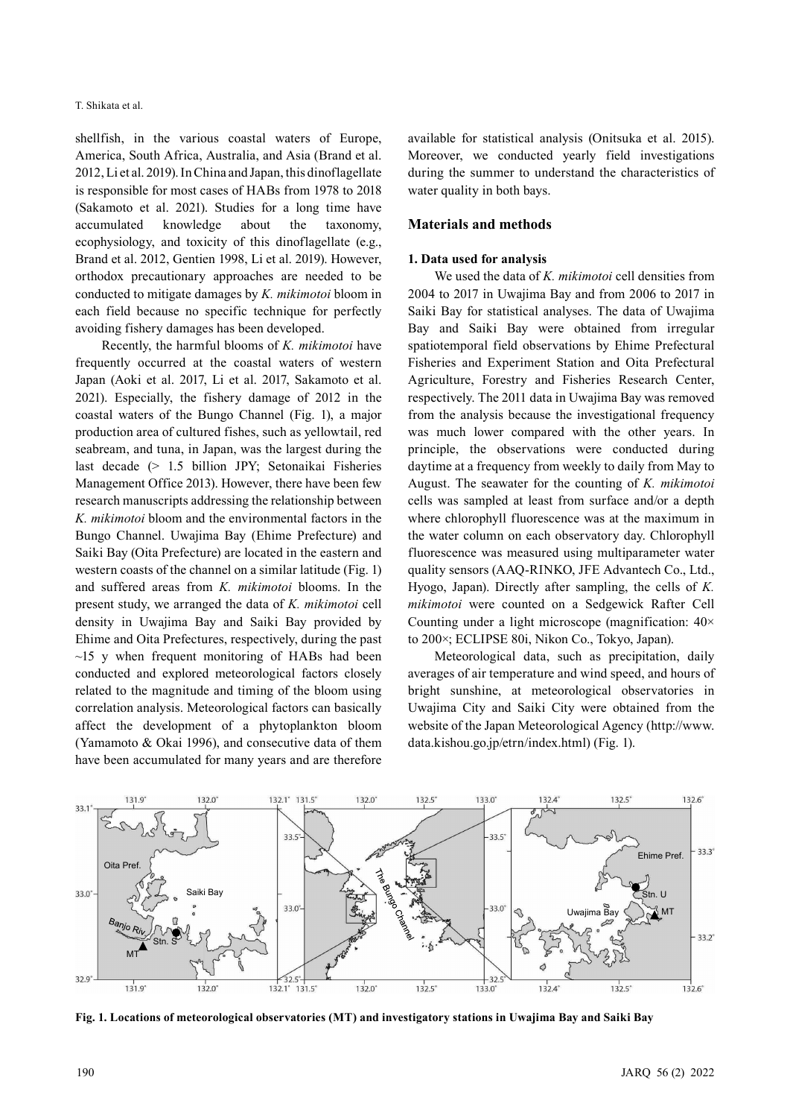shellfish, in the various coastal waters of Europe, America, South Africa, Australia, and Asia (Brand et al. 2012, Li et al. 2019). In China and Japan, this dinoflagellate is responsible for most cases of HABs from 1978 to 2018 (Sakamoto et al. 2021). Studies for a long time have accumulated knowledge about the taxonomy, ecophysiology, and toxicity of this dinoflagellate (e.g., Brand et al. 2012, Gentien 1998, Li et al. 2019). However, orthodox precautionary approaches are needed to be conducted to mitigate damages by *K. mikimotoi* bloom in each field because no specific technique for perfectly avoiding fishery damages has been developed.

Recently, the harmful blooms of *K. mikimotoi* have frequently occurred at the coastal waters of western Japan (Aoki et al. 2017, Li et al. 2017, Sakamoto et al. 2021). Especially, the fishery damage of 2012 in the coastal waters of the Bungo Channel (Fig. 1), a major production area of cultured fishes, such as yellowtail, red seabream, and tuna, in Japan, was the largest during the last decade (> 1.5 billion JPY; Setonaikai Fisheries Management Office 2013). However, there have been few research manuscripts addressing the relationship between *K. mikimotoi* bloom and the environmental factors in the Bungo Channel. Uwajima Bay (Ehime Prefecture) and Saiki Bay (Oita Prefecture) are located in the eastern and western coasts of the channel on a similar latitude (Fig. 1) and suffered areas from *K. mikimotoi* blooms. In the present study, we arranged the data of *K. mikimotoi* cell density in Uwajima Bay and Saiki Bay provided by Ehime and Oita Prefectures, respectively, during the past  $\sim$ 15 y when frequent monitoring of HABs had been conducted and explored meteorological factors closely related to the magnitude and timing of the bloom using correlation analysis. Meteorological factors can basically affect the development of a phytoplankton bloom (Yamamoto & Okai 1996), and consecutive data of them have been accumulated for many years and are therefore

available for statistical analysis (Onitsuka et al. 2015). Moreover, we conducted yearly field investigations during the summer to understand the characteristics of water quality in both bays.

## **Materials and methods**

#### **1. Data used for analysis**

We used the data of *K. mikimotoi* cell densities from 2004 to 2017 in Uwajima Bay and from 2006 to 2017 in Saiki Bay for statistical analyses. The data of Uwajima Bay and Saiki Bay were obtained from irregular spatiotemporal field observations by Ehime Prefectural Fisheries and Experiment Station and Oita Prefectural Agriculture, Forestry and Fisheries Research Center, respectively. The 2011 data in Uwajima Bay was removed from the analysis because the investigational frequency was much lower compared with the other years. In principle, the observations were conducted during daytime at a frequency from weekly to daily from May to August. The seawater for the counting of *K. mikimotoi* cells was sampled at least from surface and/or a depth where chlorophyll fluorescence was at the maximum in the water column on each observatory day. Chlorophyll fluorescence was measured using multiparameter water quality sensors (AAQ-RINKO, JFE Advantech Co., Ltd., Hyogo, Japan). Directly after sampling, the cells of *K. mikimotoi* were counted on a Sedgewick Rafter Cell Counting under a light microscope (magnification: 40× to 200×; ECLIPSE 80i, Nikon Co., Tokyo, Japan).

Meteorological data, such as precipitation, daily averages of air temperature and wind speed, and hours of bright sunshine, at meteorological observatories in Uwajima City and Saiki City were obtained from the website of the Japan Meteorological Agency (http://www. data.kishou.go.jp/etrn/index.html) (Fig. 1).



**Fig. 1. Locations of meteorological observatories (MT) and investigatory stations in Uwajima Bay and Saiki Bay**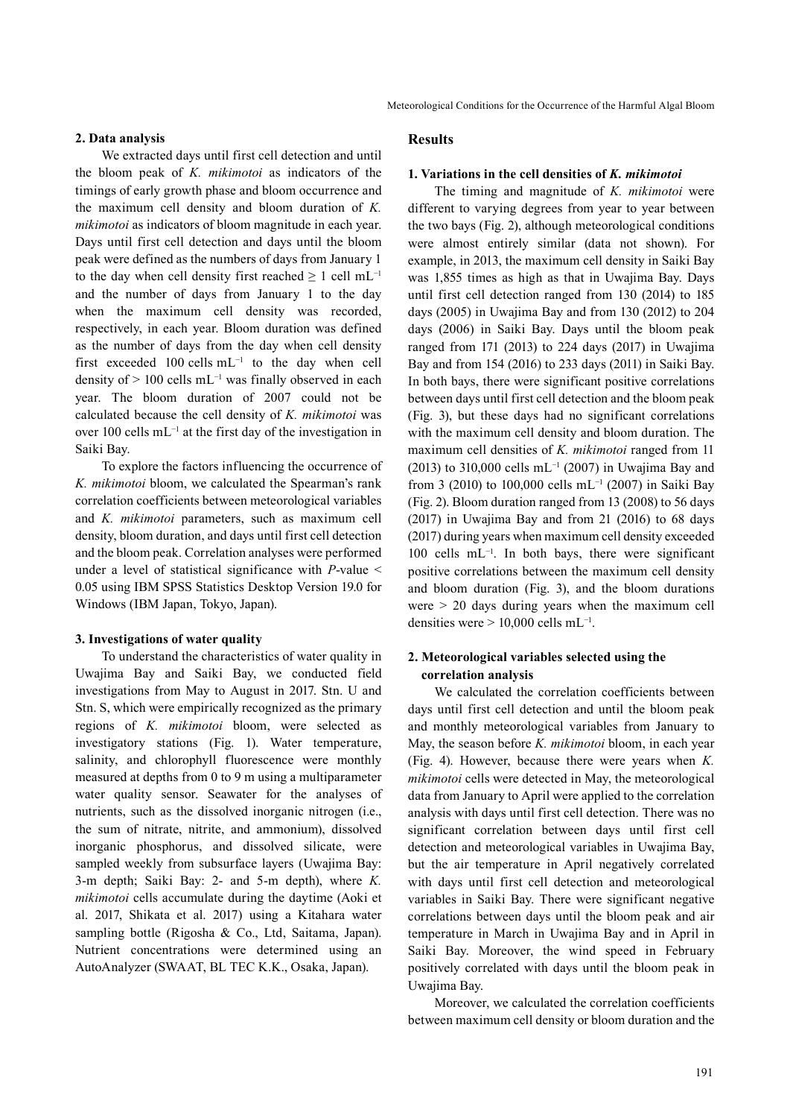## **2. Data analysis**

We extracted days until first cell detection and until the bloom peak of *K. mikimotoi* as indicators of the timings of early growth phase and bloom occurrence and the maximum cell density and bloom duration of *K. mikimotoi* as indicators of bloom magnitude in each year. Days until first cell detection and days until the bloom peak were defined as the numbers of days from January 1 to the day when cell density first reached  $\geq 1$  cell mL<sup>-1</sup> and the number of days from January 1 to the day when the maximum cell density was recorded, respectively, in each year. Bloom duration was defined as the number of days from the day when cell density first exceeded 100 cells mL−1 to the day when cell density of > 100 cells mL−1 was finally observed in each year. The bloom duration of 2007 could not be calculated because the cell density of *K. mikimotoi* was over 100 cells mL−1 at the first day of the investigation in Saiki Bay.

To explore the factors influencing the occurrence of *K. mikimotoi* bloom, we calculated the Spearman's rank correlation coefficients between meteorological variables and *K. mikimotoi* parameters, such as maximum cell density, bloom duration, and days until first cell detection and the bloom peak. Correlation analyses were performed under a level of statistical significance with *P*-value < 0.05 using IBM SPSS Statistics Desktop Version 19.0 for Windows (IBM Japan, Tokyo, Japan).

#### **3. Investigations of water quality**

To understand the characteristics of water quality in Uwajima Bay and Saiki Bay, we conducted field investigations from May to August in 2017. Stn. U and Stn. S, which were empirically recognized as the primary regions of *K. mikimotoi* bloom, were selected as investigatory stations (Fig. 1). Water temperature, salinity, and chlorophyll fluorescence were monthly measured at depths from 0 to 9 m using a multiparameter water quality sensor. Seawater for the analyses of nutrients, such as the dissolved inorganic nitrogen (i.e., the sum of nitrate, nitrite, and ammonium), dissolved inorganic phosphorus, and dissolved silicate, were sampled weekly from subsurface layers (Uwajima Bay: 3-m depth; Saiki Bay: 2- and 5-m depth), where *K. mikimotoi* cells accumulate during the daytime (Aoki et al. 2017, Shikata et al. 2017) using a Kitahara water sampling bottle (Rigosha & Co., Ltd, Saitama, Japan). Nutrient concentrations were determined using an AutoAnalyzer (SWAAT, BL TEC K.K., Osaka, Japan).

## **Results**

#### **1. Variations in the cell densities of** *K. mikimotoi*

The timing and magnitude of *K. mikimotoi* were different to varying degrees from year to year between the two bays (Fig. 2), although meteorological conditions were almost entirely similar (data not shown). For example, in 2013, the maximum cell density in Saiki Bay was 1,855 times as high as that in Uwajima Bay. Days until first cell detection ranged from 130 (2014) to 185 days (2005) in Uwajima Bay and from 130 (2012) to 204 days (2006) in Saiki Bay. Days until the bloom peak ranged from 171 (2013) to 224 days (2017) in Uwajima Bay and from 154 (2016) to 233 days (2011) in Saiki Bay. In both bays, there were significant positive correlations between days until first cell detection and the bloom peak (Fig. 3), but these days had no significant correlations with the maximum cell density and bloom duration. The maximum cell densities of *K. mikimotoi* ranged from 11 (2013) to 310,000 cells mL−1 (2007) in Uwajima Bay and from 3 (2010) to 100,000 cells mL−1 (2007) in Saiki Bay (Fig. 2). Bloom duration ranged from 13 (2008) to 56 days (2017) in Uwajima Bay and from 21 (2016) to 68 days (2017) during years when maximum cell density exceeded 100 cells mL−1. In both bays, there were significant positive correlations between the maximum cell density and bloom duration (Fig. 3), and the bloom durations were > 20 days during years when the maximum cell densities were  $> 10,000$  cells mL<sup>-1</sup>.

#### **2. Meteorological variables selected using the correlation analysis**

We calculated the correlation coefficients between days until first cell detection and until the bloom peak and monthly meteorological variables from January to May, the season before *K. mikimotoi* bloom, in each year (Fig. 4). However, because there were years when *K. mikimotoi* cells were detected in May, the meteorological data from January to April were applied to the correlation analysis with days until first cell detection. There was no significant correlation between days until first cell detection and meteorological variables in Uwajima Bay, but the air temperature in April negatively correlated with days until first cell detection and meteorological variables in Saiki Bay. There were significant negative correlations between days until the bloom peak and air temperature in March in Uwajima Bay and in April in Saiki Bay. Moreover, the wind speed in February positively correlated with days until the bloom peak in Uwajima Bay.

Moreover, we calculated the correlation coefficients between maximum cell density or bloom duration and the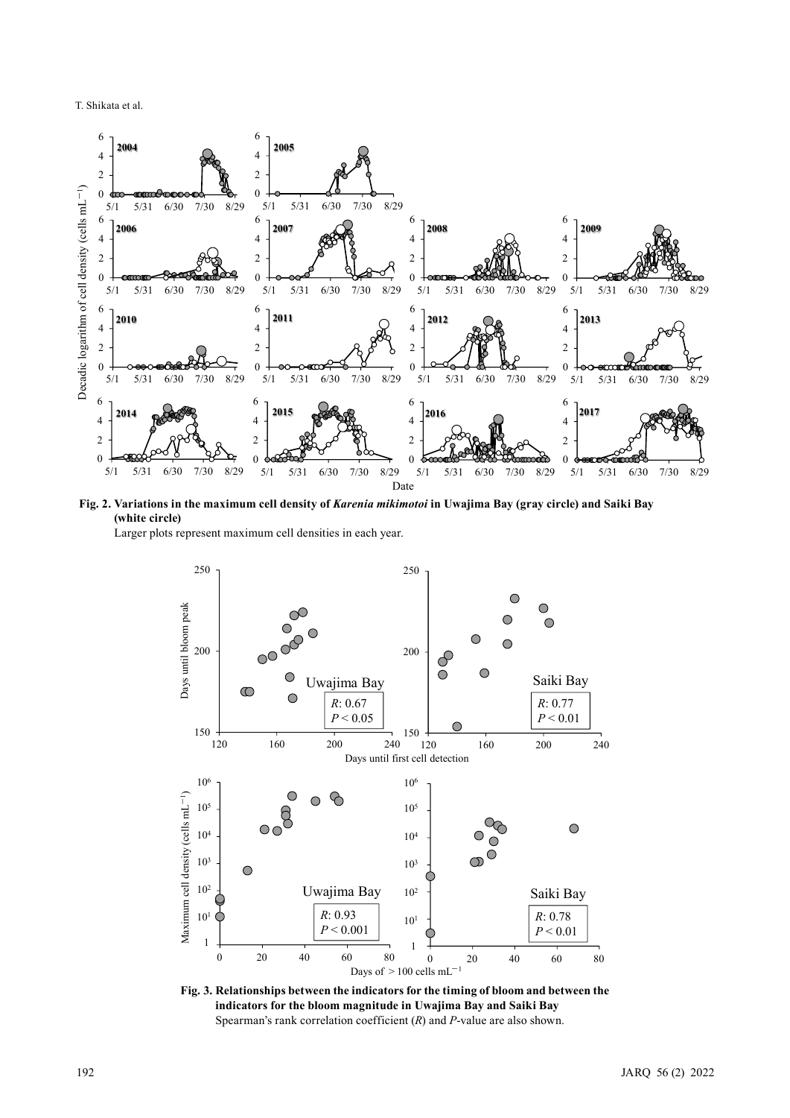

**Fig. 2. Variations in the maximum cell density of** *Karenia mikimotoi* **in Uwajima Bay (gray circle) and Saiki Bay (white circle)**

Larger plots represent maximum cell densities in each year.



**Fig. 3. Relationships between the indicators for the timing of bloom and between the indicators for the bloom magnitude in Uwajima Bay and Saiki Bay** Spearman's rank correlation coefficient (*R*) and *P*-value are also shown.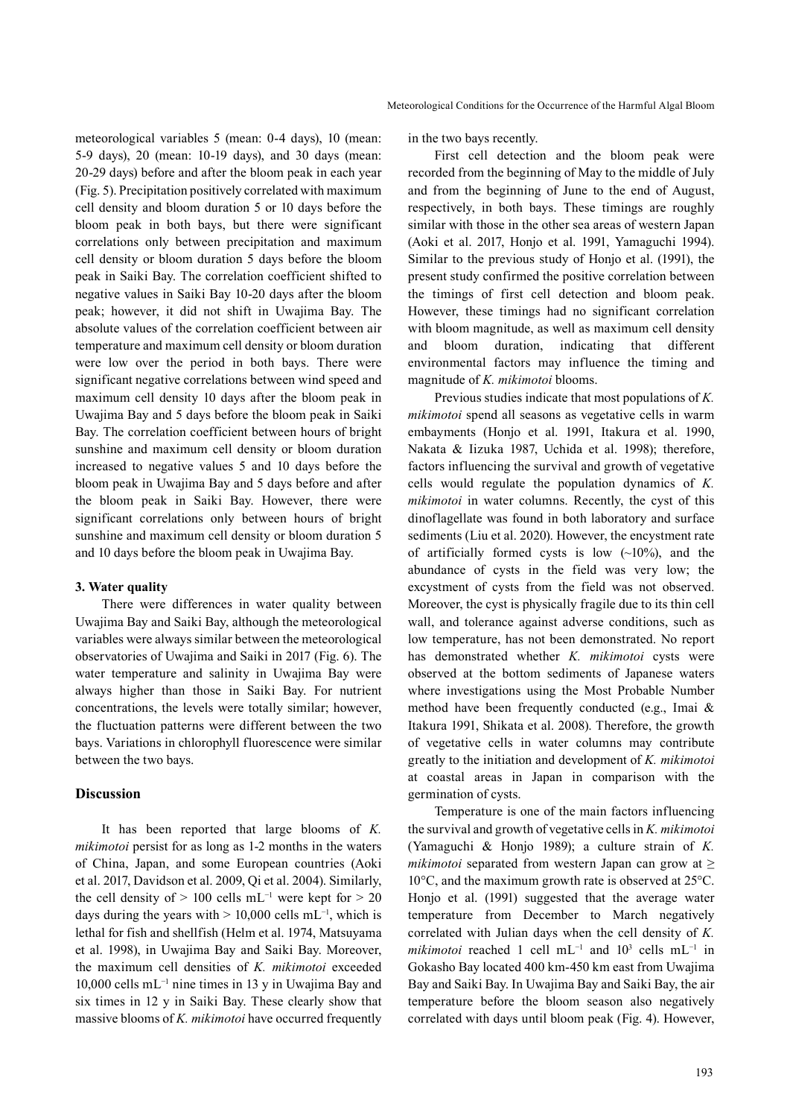meteorological variables 5 (mean: 0-4 days), 10 (mean: 5-9 days), 20 (mean: 10-19 days), and 30 days (mean: 20-29 days) before and after the bloom peak in each year (Fig. 5). Precipitation positively correlated with maximum cell density and bloom duration 5 or 10 days before the bloom peak in both bays, but there were significant correlations only between precipitation and maximum cell density or bloom duration 5 days before the bloom peak in Saiki Bay. The correlation coefficient shifted to negative values in Saiki Bay 10-20 days after the bloom peak; however, it did not shift in Uwajima Bay. The absolute values of the correlation coefficient between air temperature and maximum cell density or bloom duration were low over the period in both bays. There were significant negative correlations between wind speed and maximum cell density 10 days after the bloom peak in Uwajima Bay and 5 days before the bloom peak in Saiki Bay. The correlation coefficient between hours of bright sunshine and maximum cell density or bloom duration increased to negative values 5 and 10 days before the bloom peak in Uwajima Bay and 5 days before and after the bloom peak in Saiki Bay. However, there were significant correlations only between hours of bright sunshine and maximum cell density or bloom duration 5 and 10 days before the bloom peak in Uwajima Bay.

#### **3. Water quality**

There were differences in water quality between Uwajima Bay and Saiki Bay, although the meteorological variables were always similar between the meteorological observatories of Uwajima and Saiki in 2017 (Fig. 6). The water temperature and salinity in Uwajima Bay were always higher than those in Saiki Bay. For nutrient concentrations, the levels were totally similar; however, the fluctuation patterns were different between the two bays. Variations in chlorophyll fluorescence were similar between the two bays.

## **Discussion**

It has been reported that large blooms of *K. mikimotoi* persist for as long as 1-2 months in the waters of China, Japan, and some European countries (Aoki et al. 2017, Davidson et al. 2009, Qi et al. 2004). Similarly, the cell density of > 100 cells mL<sup>-1</sup> were kept for > 20 days during the years with > 10,000 cells mL<sup>-1</sup>, which is lethal for fish and shellfish (Helm et al. 1974, Matsuyama et al. 1998), in Uwajima Bay and Saiki Bay. Moreover, the maximum cell densities of *K. mikimotoi* exceeded 10,000 cells mL−1 nine times in 13 y in Uwajima Bay and six times in 12 y in Saiki Bay. These clearly show that massive blooms of *K. mikimotoi* have occurred frequently

in the two bays recently.

First cell detection and the bloom peak were recorded from the beginning of May to the middle of July and from the beginning of June to the end of August, respectively, in both bays. These timings are roughly similar with those in the other sea areas of western Japan (Aoki et al. 2017, Honjo et al. 1991, Yamaguchi 1994). Similar to the previous study of Honjo et al. (1991), the present study confirmed the positive correlation between the timings of first cell detection and bloom peak. However, these timings had no significant correlation with bloom magnitude, as well as maximum cell density and bloom duration, indicating that different environmental factors may influence the timing and magnitude of *K. mikimotoi* blooms.

Previous studies indicate that most populations of *K. mikimotoi* spend all seasons as vegetative cells in warm embayments (Honjo et al. 1991, Itakura et al. 1990, Nakata & Iizuka 1987, Uchida et al. 1998); therefore, factors influencing the survival and growth of vegetative cells would regulate the population dynamics of *K. mikimotoi* in water columns. Recently, the cyst of this dinoflagellate was found in both laboratory and surface sediments (Liu et al. 2020). However, the encystment rate of artificially formed cysts is low  $(-10\%)$ , and the abundance of cysts in the field was very low; the excystment of cysts from the field was not observed. Moreover, the cyst is physically fragile due to its thin cell wall, and tolerance against adverse conditions, such as low temperature, has not been demonstrated. No report has demonstrated whether *K. mikimotoi* cysts were observed at the bottom sediments of Japanese waters where investigations using the Most Probable Number method have been frequently conducted (e.g., Imai & Itakura 1991, Shikata et al. 2008). Therefore, the growth of vegetative cells in water columns may contribute greatly to the initiation and development of *K. mikimotoi* at coastal areas in Japan in comparison with the germination of cysts.

Temperature is one of the main factors influencing the survival and growth of vegetative cells in *K. mikimotoi* (Yamaguchi & Honjo 1989); a culture strain of *K. mikimotoi* separated from western Japan can grow at ≥ 10°C, and the maximum growth rate is observed at 25°C. Honjo et al. (1991) suggested that the average water temperature from December to March negatively correlated with Julian days when the cell density of *K. mikimotoi* reached 1 cell mL<sup>-1</sup> and 10<sup>3</sup> cells mL<sup>-1</sup> in Gokasho Bay located 400 km-450 km east from Uwajima Bay and Saiki Bay. In Uwajima Bay and Saiki Bay, the air temperature before the bloom season also negatively correlated with days until bloom peak (Fig. 4). However,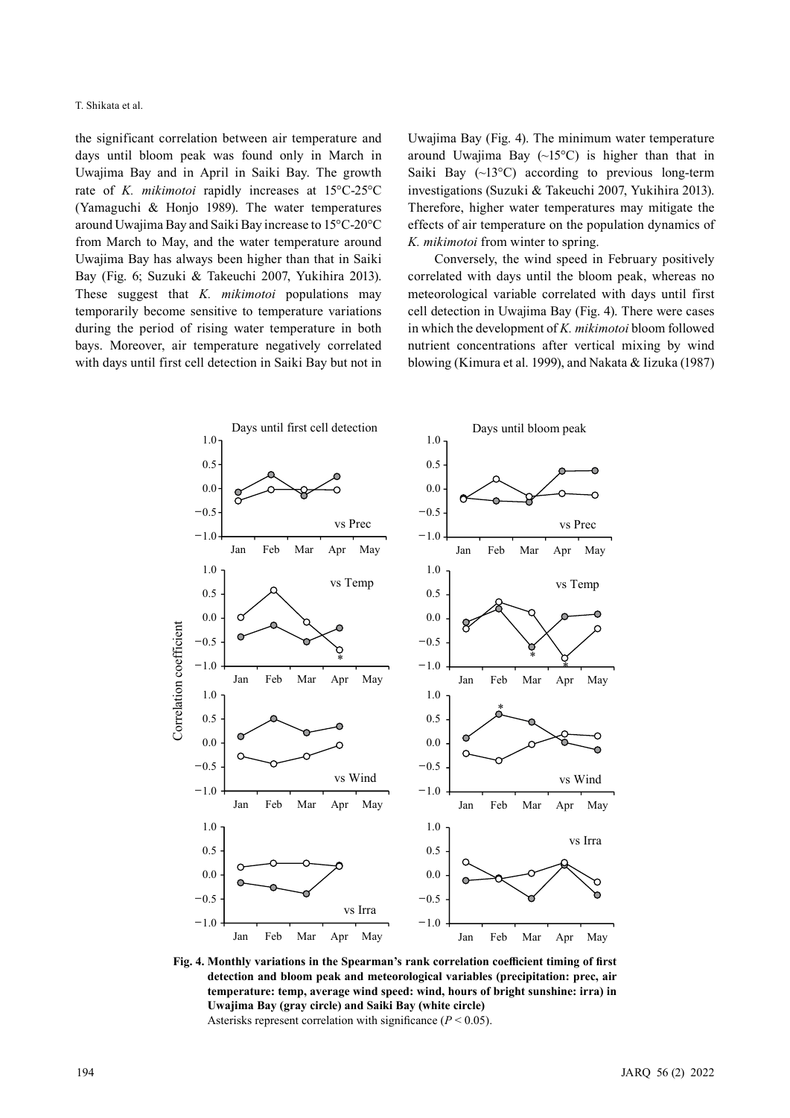the significant correlation between air temperature and days until bloom peak was found only in March in Uwajima Bay and in April in Saiki Bay. The growth rate of *K. mikimotoi* rapidly increases at 15°C-25°C (Yamaguchi & Honjo 1989). The water temperatures around Uwajima Bay and Saiki Bay increase to 15°C-20°C from March to May, and the water temperature around Uwajima Bay has always been higher than that in Saiki Bay (Fig. 6; Suzuki & Takeuchi 2007, Yukihira 2013). These suggest that *K. mikimotoi* populations may temporarily become sensitive to temperature variations during the period of rising water temperature in both bays. Moreover, air temperature negatively correlated with days until first cell detection in Saiki Bay but not in Uwajima Bay (Fig. 4). The minimum water temperature around Uwajima Bay  $(\sim 15^{\circ}C)$  is higher than that in Saiki Bay  $(\sim 13^{\circ}C)$  according to previous long-term investigations (Suzuki & Takeuchi 2007, Yukihira 2013). Therefore, higher water temperatures may mitigate the effects of air temperature on the population dynamics of *K. mikimotoi* from winter to spring.

Conversely, the wind speed in February positively correlated with days until the bloom peak, whereas no meteorological variable correlated with days until first cell detection in Uwajima Bay (Fig. 4). There were cases in which the development of *K. mikimotoi* bloom followed nutrient concentrations after vertical mixing by wind blowing (Kimura et al. 1999), and Nakata & Iizuka (1987)



**Fig. 4. Monthly variations in the Spearman's rank correlation coefficient timing of first detection and bloom peak and meteorological variables (precipitation: prec, air temperature: temp, average wind speed: wind, hours of bright sunshine: irra) in Uwajima Bay (gray circle) and Saiki Bay (white circle)** Asterisks represent correlation with significance (*P* < 0.05).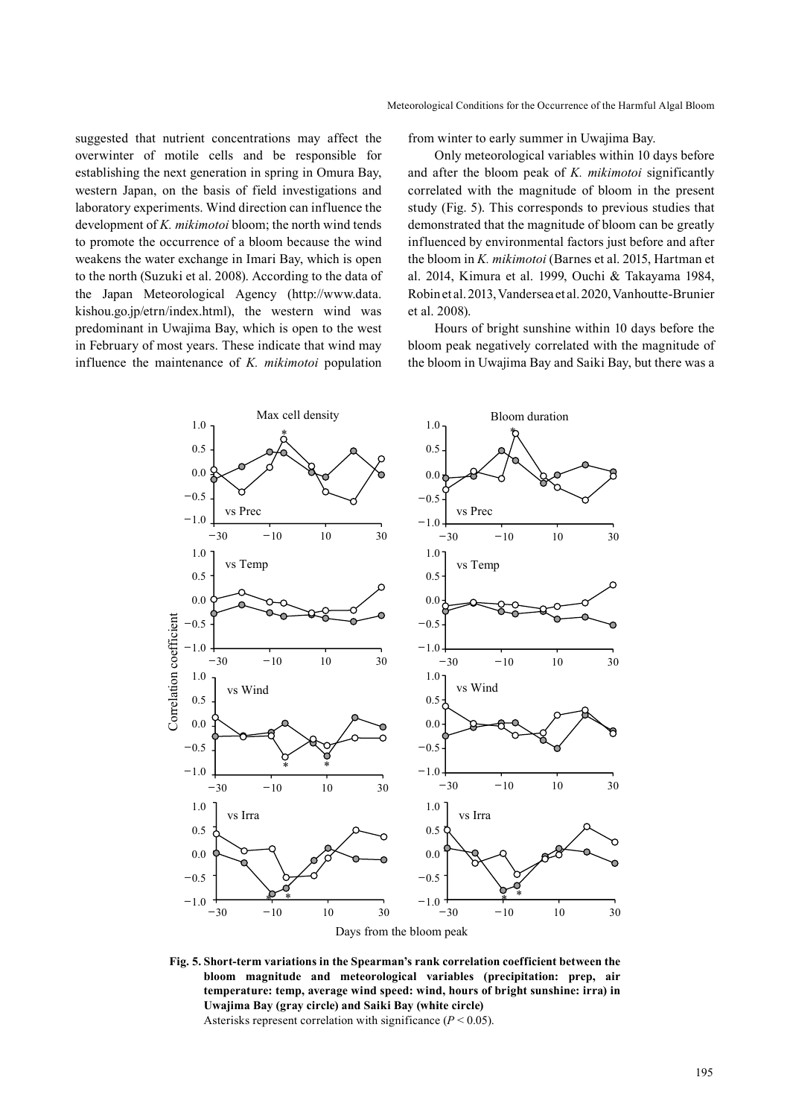suggested that nutrient concentrations may affect the overwinter of motile cells and be responsible for establishing the next generation in spring in Omura Bay, western Japan, on the basis of field investigations and laboratory experiments. Wind direction can influence the development of *K. mikimotoi* bloom; the north wind tends to promote the occurrence of a bloom because the wind weakens the water exchange in Imari Bay, which is open to the north (Suzuki et al. 2008). According to the data of the Japan Meteorological Agency (http://www.data. kishou.go.jp/etrn/index.html), the western wind was predominant in Uwajima Bay, which is open to the west in February of most years. These indicate that wind may influence the maintenance of *K. mikimotoi* population from winter to early summer in Uwajima Bay.

Only meteorological variables within 10 days before and after the bloom peak of *K. mikimotoi* significantly correlated with the magnitude of bloom in the present study (Fig. 5). This corresponds to previous studies that demonstrated that the magnitude of bloom can be greatly influenced by environmental factors just before and after the bloom in *K. mikimotoi* (Barnes et al. 2015, Hartman et al. 2014, Kimura et al. 1999, Ouchi & Takayama 1984, Robin et al. 2013, Vandersea et al. 2020, Vanhoutte-Brunier et al. 2008).

Hours of bright sunshine within 10 days before the bloom peak negatively correlated with the magnitude of the bloom in Uwajima Bay and Saiki Bay, but there was a



**Fig. 5. Short-term variations in the Spearman's rank correlation coefficient between the bloom magnitude and meteorological variables (precipitation: prep, air temperature: temp, average wind speed: wind, hours of bright sunshine: irra) in Uwajima Bay (gray circle) and Saiki Bay (white circle)** Asterisks represent correlation with significance (*P* < 0.05).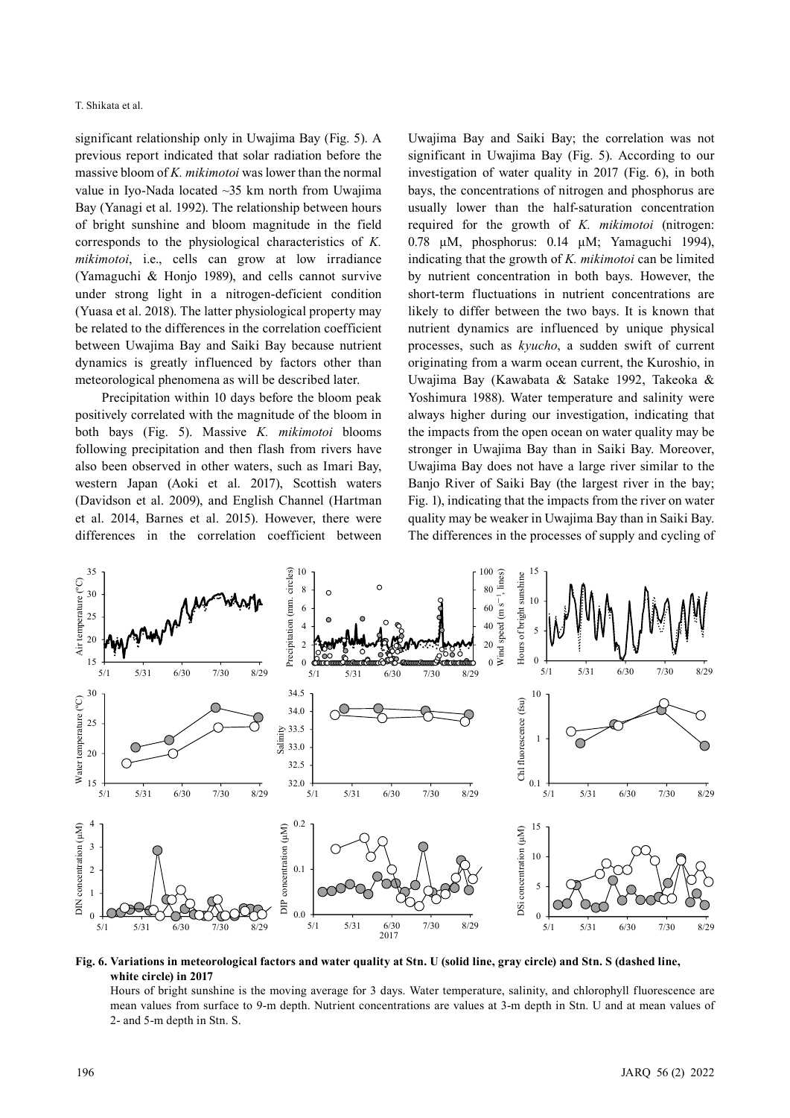significant relationship only in Uwajima Bay (Fig. 5). A previous report indicated that solar radiation before the massive bloom of *K. mikimotoi* was lower than the normal value in Iyo-Nada located ~35 km north from Uwajima Bay (Yanagi et al. 1992). The relationship between hours of bright sunshine and bloom magnitude in the field corresponds to the physiological characteristics of *K. mikimotoi*, i.e., cells can grow at low irradiance (Yamaguchi & Honjo 1989), and cells cannot survive under strong light in a nitrogen-deficient condition (Yuasa et al. 2018). The latter physiological property may be related to the differences in the correlation coefficient between Uwajima Bay and Saiki Bay because nutrient dynamics is greatly influenced by factors other than meteorological phenomena as will be described later.

Precipitation within 10 days before the bloom peak positively correlated with the magnitude of the bloom in both bays (Fig. 5). Massive *K. mikimotoi* blooms following precipitation and then flash from rivers have also been observed in other waters, such as Imari Bay, western Japan (Aoki et al. 2017), Scottish waters (Davidson et al. 2009), and English Channel (Hartman et al. 2014, Barnes et al. 2015). However, there were differences in the correlation coefficient between Uwajima Bay and Saiki Bay; the correlation was not significant in Uwajima Bay (Fig. 5). According to our investigation of water quality in 2017 (Fig. 6), in both bays, the concentrations of nitrogen and phosphorus are usually lower than the half-saturation concentration required for the growth of *K. mikimotoi* (nitrogen: 0.78 μM, phosphorus: 0.14 μM; Yamaguchi 1994), indicating that the growth of *K. mikimotoi* can be limited by nutrient concentration in both bays. However, the short-term fluctuations in nutrient concentrations are likely to differ between the two bays. It is known that nutrient dynamics are influenced by unique physical processes, such as *kyucho*, a sudden swift of current originating from a warm ocean current, the Kuroshio, in Uwajima Bay (Kawabata & Satake 1992, Takeoka & Yoshimura 1988). Water temperature and salinity were always higher during our investigation, indicating that the impacts from the open ocean on water quality may be stronger in Uwajima Bay than in Saiki Bay. Moreover, Uwajima Bay does not have a large river similar to the Banjo River of Saiki Bay (the largest river in the bay; Fig. 1), indicating that the impacts from the river on water quality may be weaker in Uwajima Bay than in Saiki Bay. The differences in the processes of supply and cycling of



**Fig. 6. Variations in meteorological factors and water quality at Stn. U (solid line, gray circle) and Stn. S (dashed line, white circle) in 2017**

Hours of bright sunshine is the moving average for 3 days. Water temperature, salinity, and chlorophyll fluorescence are mean values from surface to 9-m depth. Nutrient concentrations are values at 3-m depth in Stn. U and at mean values of 2- and 5-m depth in Stn. S.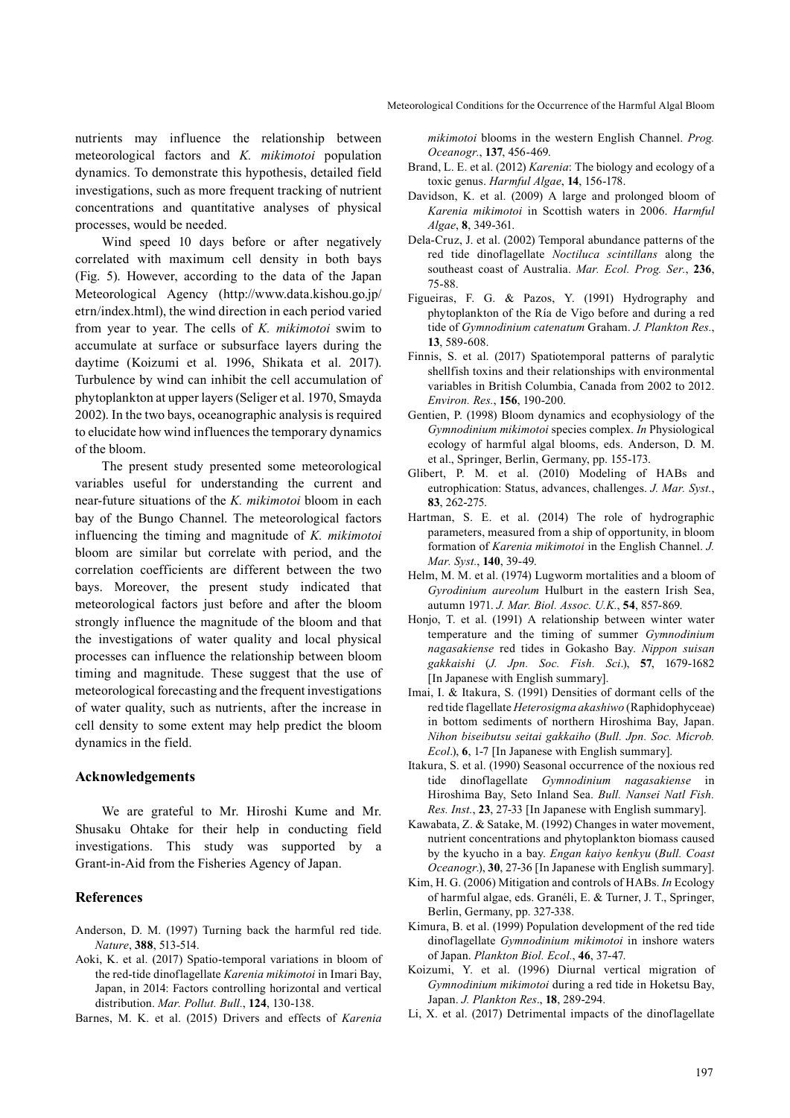nutrients may influence the relationship between meteorological factors and *K. mikimotoi* population dynamics. To demonstrate this hypothesis, detailed field investigations, such as more frequent tracking of nutrient concentrations and quantitative analyses of physical processes, would be needed.

Wind speed 10 days before or after negatively correlated with maximum cell density in both bays (Fig. 5). However, according to the data of the Japan Meteorological Agency (http://www.data.kishou.go.jp/ etrn/index.html), the wind direction in each period varied from year to year. The cells of *K. mikimotoi* swim to accumulate at surface or subsurface layers during the daytime (Koizumi et al. 1996, Shikata et al. 2017). Turbulence by wind can inhibit the cell accumulation of phytoplankton at upper layers (Seliger et al. 1970, Smayda 2002). In the two bays, oceanographic analysis is required to elucidate how wind influences the temporary dynamics of the bloom.

The present study presented some meteorological variables useful for understanding the current and near-future situations of the *K. mikimotoi* bloom in each bay of the Bungo Channel. The meteorological factors influencing the timing and magnitude of *K. mikimotoi* bloom are similar but correlate with period, and the correlation coefficients are different between the two bays. Moreover, the present study indicated that meteorological factors just before and after the bloom strongly influence the magnitude of the bloom and that the investigations of water quality and local physical processes can influence the relationship between bloom timing and magnitude. These suggest that the use of meteorological forecasting and the frequent investigations of water quality, such as nutrients, after the increase in cell density to some extent may help predict the bloom dynamics in the field.

## **Acknowledgements**

We are grateful to Mr. Hiroshi Kume and Mr. Shusaku Ohtake for their help in conducting field investigations. This study was supported by a Grant-in-Aid from the Fisheries Agency of Japan.

#### **References**

- Anderson, D. M. (1997) Turning back the harmful red tide. *Nature*, **388**, 513-514.
- Aoki, K. et al. (2017) Spatio-temporal variations in bloom of the red-tide dinoflagellate *Karenia mikimotoi* in Imari Bay, Japan, in 2014: Factors controlling horizontal and vertical distribution. *Mar. Pollut. Bull.*, **124**, 130-138.
- Barnes, M. K. et al. (2015) Drivers and effects of *Karenia*

*mikimotoi* blooms in the western English Channel. *Prog. Oceanogr.*, **137**, 456-469.

- Brand, L. E. et al. (2012) *Karenia*: The biology and ecology of a toxic genus. *Harmful Algae*, **14**, 156-178.
- Davidson, K. et al. (2009) A large and prolonged bloom of *Karenia mikimotoi* in Scottish waters in 2006. *Harmful Algae*, **8**, 349-361.
- Dela-Cruz, J. et al. (2002) Temporal abundance patterns of the red tide dinoflagellate *Noctiluca scintillans* along the southeast coast of Australia. *Mar. Ecol. Prog. Ser.*, **236**, 75-88.
- Figueiras, F. G. & Pazos, Y. (1991) Hydrography and phytoplankton of the Ría de Vigo before and during a red tide of *Gymnodinium catenatum* Graham. *J. Plankton Res.*, **13**, 589-608.
- Finnis, S. et al. (2017) Spatiotemporal patterns of paralytic shellfish toxins and their relationships with environmental variables in British Columbia, Canada from 2002 to 2012. *Environ. Res.*, **156**, 190-200.
- Gentien, P. (1998) Bloom dynamics and ecophysiology of the *Gymnodinium mikimotoi* species complex. *In* Physiological ecology of harmful algal blooms, eds. Anderson, D. M. et al., Springer, Berlin, Germany, pp. 155-173.
- Glibert, P. M. et al. (2010) Modeling of HABs and eutrophication: Status, advances, challenges. *J. Mar. Syst.*, **83**, 262-275.
- Hartman, S. E. et al. (2014) The role of hydrographic parameters, measured from a ship of opportunity, in bloom formation of *Karenia mikimotoi* in the English Channel. *J. Mar. Syst.*, **140**, 39-49.
- Helm, M. M. et al. (1974) Lugworm mortalities and a bloom of *Gyrodinium aureolum* Hulburt in the eastern Irish Sea, autumn 1971. *J. Mar. Biol. Assoc. U.K.*, **54**, 857-869.
- Honjo, T. et al. (1991) A relationship between winter water temperature and the timing of summer *Gymnodinium nagasakiense* red tides in Gokasho Bay. *Nippon suisan gakkaishi* (*J. Jpn. Soc. Fish. Sci*.), **57**, 1679-1682 [In Japanese with English summary].
- Imai, I. & Itakura, S. (1991) Densities of dormant cells of the red tide flagellate *Heterosigma akashiwo* (Raphidophyceae) in bottom sediments of northern Hiroshima Bay, Japan. *Nihon biseibutsu seitai gakkaiho* (*Bull. Jpn. Soc. Microb. Ecol*.), **6**, 1-7 [In Japanese with English summary].
- Itakura, S. et al. (1990) Seasonal occurrence of the noxious red tide dinoflagellate *Gymnodinium nagasakiense* in Hiroshima Bay, Seto Inland Sea. *Bull. Nansei Natl Fish. Res. Inst.*, **23**, 27-33 [In Japanese with English summary].
- Kawabata, Z. & Satake, M. (1992) Changes in water movement, nutrient concentrations and phytoplankton biomass caused by the kyucho in a bay. *Engan kaiyo kenkyu* (*Bull. Coast Oceanogr*.), **30**, 27-36 [In Japanese with English summary].
- Kim, H. G. (2006) Mitigation and controls of HABs. *In* Ecology of harmful algae, eds. Granéli, E. & Turner, J. T., Springer, Berlin, Germany, pp. 327-338.
- Kimura, B. et al. (1999) Population development of the red tide dinoflagellate *Gymnodinium mikimotoi* in inshore waters of Japan. *Plankton Biol. Ecol.*, **46**, 37-47.
- Koizumi, Y. et al. (1996) Diurnal vertical migration of *Gymnodinium mikimotoi* during a red tide in Hoketsu Bay, Japan. *J. Plankton Res*., **18**, 289-294.
- Li, X. et al. (2017) Detrimental impacts of the dinoflagellate